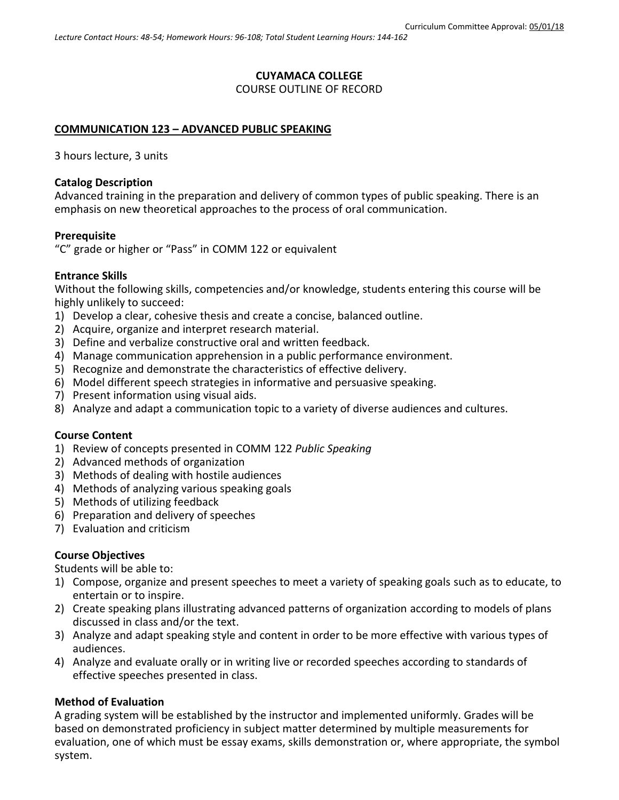### **CUYAMACA COLLEGE**

### COURSE OUTLINE OF RECORD

### **COMMUNICATION 123 – ADVANCED PUBLIC SPEAKING**

3 hours lecture, 3 units

### **Catalog Description**

Advanced training in the preparation and delivery of common types of public speaking. There is an emphasis on new theoretical approaches to the process of oral communication.

#### **Prerequisite**

"C" grade or higher or "Pass" in COMM 122 or equivalent

### **Entrance Skills**

Without the following skills, competencies and/or knowledge, students entering this course will be highly unlikely to succeed:

- 1) Develop a clear, cohesive thesis and create a concise, balanced outline.
- 2) Acquire, organize and interpret research material.
- 3) Define and verbalize constructive oral and written feedback.
- 4) Manage communication apprehension in a public performance environment.
- 5) Recognize and demonstrate the characteristics of effective delivery.
- 6) Model different speech strategies in informative and persuasive speaking.
- 7) Present information using visual aids.
- 8) Analyze and adapt a communication topic to a variety of diverse audiences and cultures.

### **Course Content**

- 1) Review of concepts presented in COMM 122 *Public Speaking*
- 2) Advanced methods of organization
- 3) Methods of dealing with hostile audiences
- 4) Methods of analyzing various speaking goals
- 5) Methods of utilizing feedback
- 6) Preparation and delivery of speeches
- 7) Evaluation and criticism

## **Course Objectives**

Students will be able to:

- 1) Compose, organize and present speeches to meet a variety of speaking goals such as to educate, to entertain or to inspire.
- 2) Create speaking plans illustrating advanced patterns of organization according to models of plans discussed in class and/or the text.
- 3) Analyze and adapt speaking style and content in order to be more effective with various types of audiences.
- 4) Analyze and evaluate orally or in writing live or recorded speeches according to standards of effective speeches presented in class.

## **Method of Evaluation**

A grading system will be established by the instructor and implemented uniformly. Grades will be based on demonstrated proficiency in subject matter determined by multiple measurements for evaluation, one of which must be essay exams, skills demonstration or, where appropriate, the symbol system.